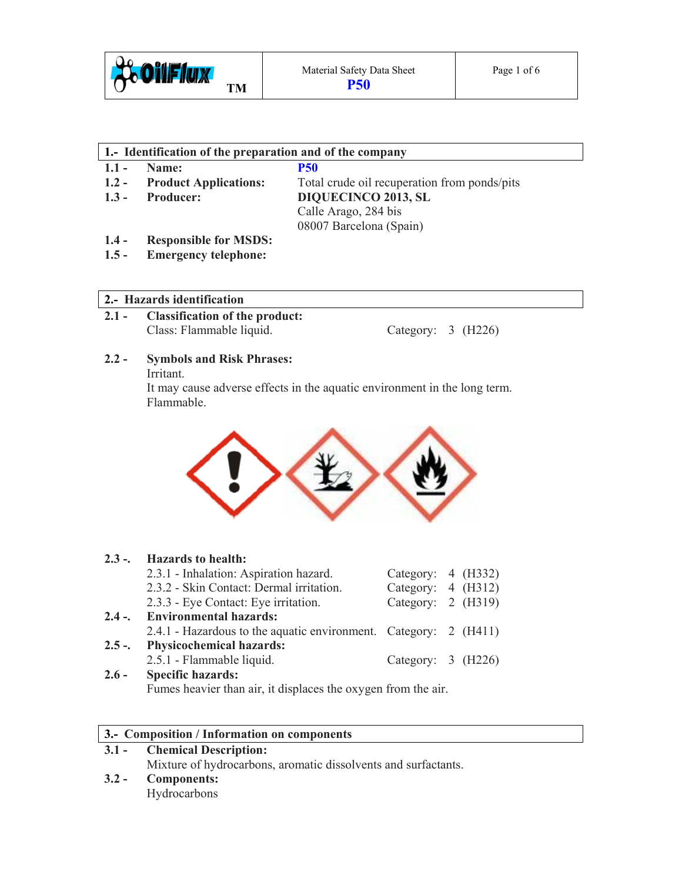

# **1.- Identification of the preparation and of the company**

- 
- **1.1 Name:** P50<br> **1.2 Product Applications:** Tota
- 

# **Product Applications:** Total crude oil recuperation from ponds/pits **1.3 - Producer: DIQUECINCO 2013, SL** Calle Arago, 284 bis 08007 Barcelona (Spain)

- **1.4 Responsible for MSDS:**
- **1.5 Emergency telephone:**

#### **2.- Hazards identification**

**2.1 - Classification of the product:**  Class: Flammable liquid. Category: 3 (H226)

# **2.2 - Symbols and Risk Phrases:**

Irritant.

It may cause adverse effects in the aquatic environment in the long term. Flammable.



|         | 2.3 -. Hazards to health:                                        |                    |  |
|---------|------------------------------------------------------------------|--------------------|--|
|         | 2.3.1 - Inhalation: Aspiration hazard.                           | Category: 4 (H332) |  |
|         | 2.3.2 - Skin Contact: Dermal irritation.                         | Category: 4 (H312) |  |
|         | 2.3.3 - Eye Contact: Eye irritation.                             | Category: 2 (H319) |  |
|         | 2.4 -. Environmental hazards:                                    |                    |  |
|         | 2.4.1 - Hazardous to the aquatic environment. Category: 2 (H411) |                    |  |
| $2.5 -$ | <b>Physicochemical hazards:</b>                                  |                    |  |
|         | 2.5.1 - Flammable liquid.                                        | Category: 3 (H226) |  |
| $2.6 -$ | <b>Specific hazards:</b>                                         |                    |  |

Fumes heavier than air, it displaces the oxygen from the air.

## **3.- Composition / Information on components**

**3.1 - Chemical Description:**  Mixture of hydrocarbons, aromatic dissolvents and surfactants. **3.2 - Components:**  Hydrocarbons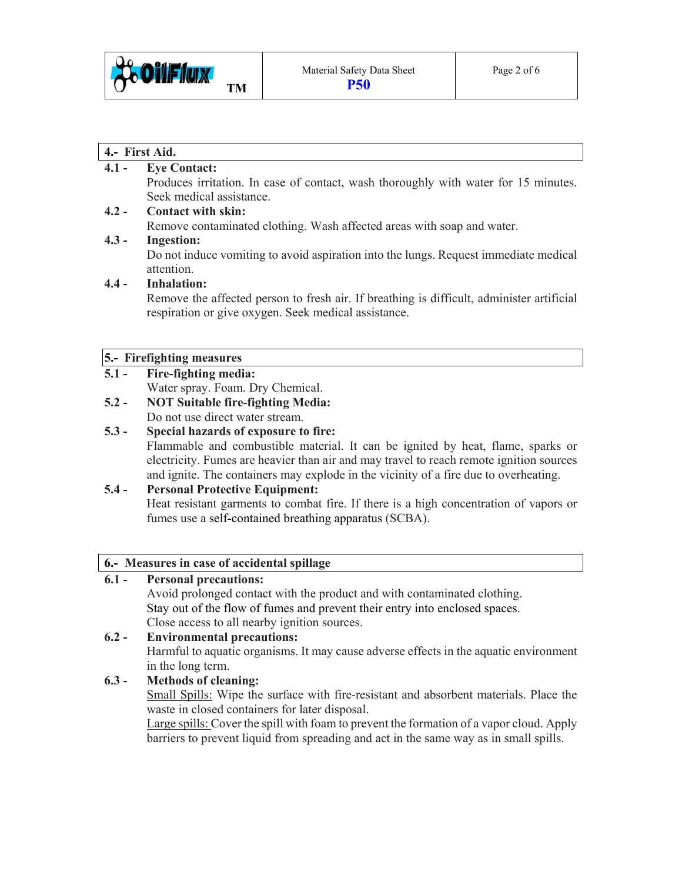

#### **4.- First Aid.**

## **4.1 - Eye Contact:**

Produces irritation. In case of contact, wash thoroughly with water for 15 minutes. Seek medical assistance.

#### **4.2 - Contact with skin:**

Remove contaminated clothing. Wash affected areas with soap and water.

#### **4.3 - Ingestion:**

Do not induce vomiting to avoid aspiration into the lungs. Request immediate medical attention.

#### **4.4 - Inhalation:**

Remove the affected person to fresh air. If breathing is difficult, administer artificial respiration or give oxygen. Seek medical assistance.

#### **5.- Firefighting measures**

#### **5.1 - Fire-fighting media:**

- Water spray. Foam. Dry Chemical.
- **5.2 NOT Suitable fire-fighting Media:**  Do not use direct water stream.

## **5.3 - Special hazards of exposure to fire:**

Flammable and combustible material. It can be ignited by heat, flame, sparks or electricity. Fumes are heavier than air and may travel to reach remote ignition sources and ignite. The containers may explode in the vicinity of a fire due to overheating.

# **5.4 - Personal Protective Equipment:**

Heat resistant garments to combat fire. If there is a high concentration of vapors or fumes use a self-contained breathing apparatus (SCBA).

## **6.- Measures in case of accidental spillage**

## **6.1 - Personal precautions:**

Avoid prolonged contact with the product and with contaminated clothing. Stay out of the flow of fumes and prevent their entry into enclosed spaces. Close access to all nearby ignition sources.

#### **6.2 - Environmental precautions:**  Harmful to aquatic organisms. It may cause adverse effects in the aquatic environment in the long term.

## **6.3 - Methods of cleaning:**

Small Spills: Wipe the surface with fire-resistant and absorbent materials. Place the waste in closed containers for later disposal.

 Large spills: Cover the spill with foam to prevent the formation of a vapor cloud. Apply barriers to prevent liquid from spreading and act in the same way as in small spills.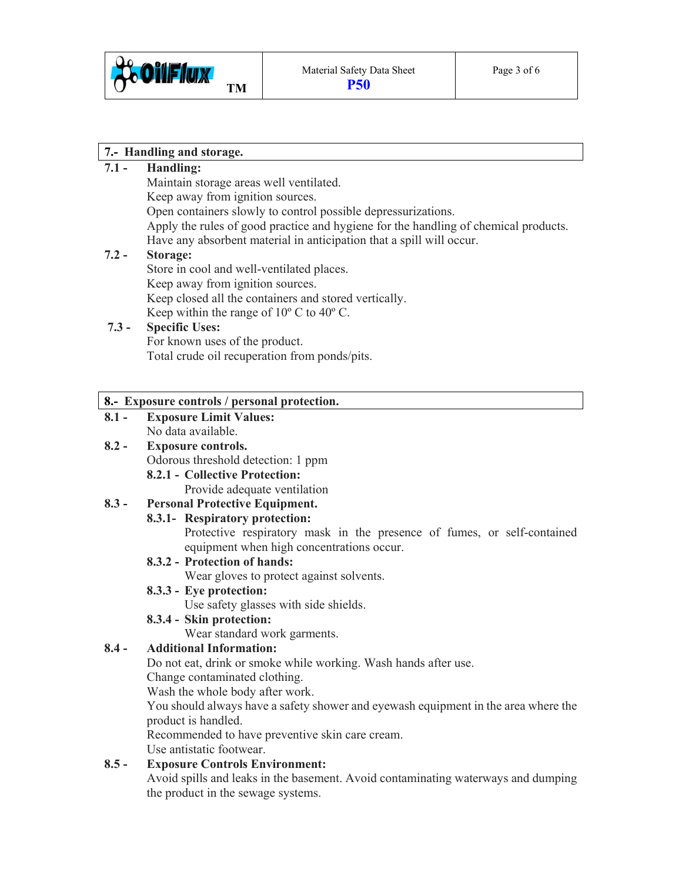

## **7.- Handling and storage.**

#### **7.1 - Handling:**

| $7.2 -$ | Storage:                                                                            |
|---------|-------------------------------------------------------------------------------------|
|         | Have any absorbent material in anticipation that a spill will occur.                |
|         | Apply the rules of good practice and hygiene for the handling of chemical products. |
|         | Open containers slowly to control possible depressurizations.                       |
|         | Keep away from ignition sources.                                                    |
|         | Maintain storage areas well ventilated.                                             |
|         |                                                                                     |

# $7.2 -$

Store in cool and well-ventilated places. Keep away from ignition sources. Keep closed all the containers and stored vertically. Keep within the range of 10º C to 40º C.

#### **7.3 - Specific Uses:**  For known uses of the product. Total crude oil recuperation from ponds/pits.

## **8.- Exposure controls / personal protection.**

**8.1 - Exposure Limit Values:**  No data available.

# **8.2 - Exposure controls.**

Odorous threshold detection: 1 ppm

 **8.2.1 - Collective Protection:** 

Provide adequate ventilation

## **8.3 - Personal Protective Equipment.**

#### **8.3.1- Respiratory protection:**

Protective respiratory mask in the presence of fumes, or self-contained equipment when high concentrations occur.

## **8.3.2 - Protection of hands:**

Wear gloves to protect against solvents.

## **8.3.3 - Eye protection:**

Use safety glasses with side shields.

## **8.3.4 - Skin protection:**

Wear standard work garments.

## **8.4 - Additional Information:**

Do not eat, drink or smoke while working. Wash hands after use.

Change contaminated clothing.

Wash the whole body after work.

 You should always have a safety shower and eyewash equipment in the area where the product is handled.

Recommended to have preventive skin care cream.

Use antistatic footwear.

# **8.5 - Exposure Controls Environment:**

Avoid spills and leaks in the basement. Avoid contaminating waterways and dumping the product in the sewage systems.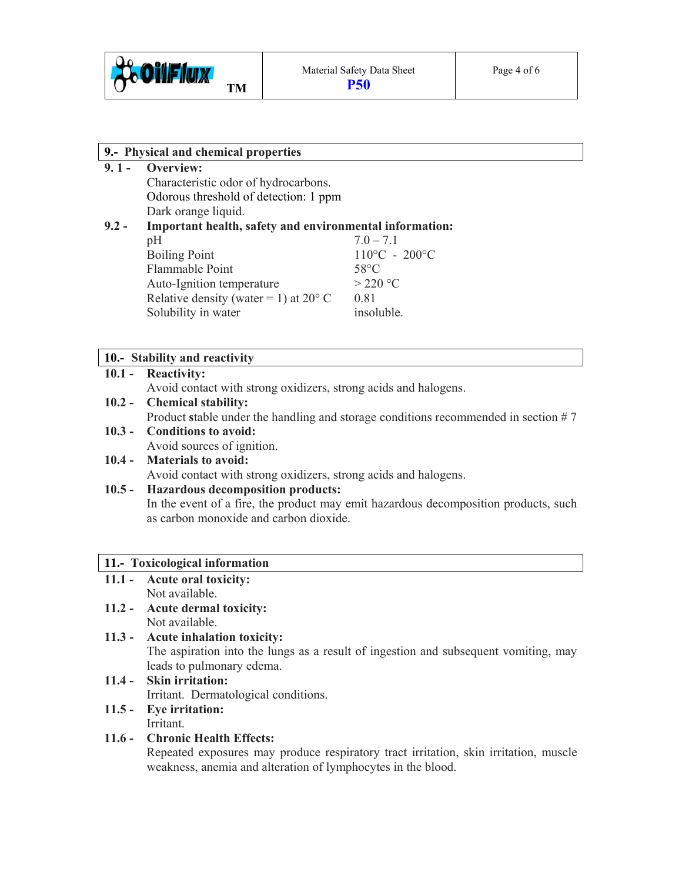

#### **9.- Physical and chemical properties**

**9. 1 - Overview:**  Characteristic odor of hydrocarbons. Odorous threshold of detection: 1 ppm Dark orange liquid.

## **9.2 - Important health, safety and environmental information:**

| рH                                             | $7.0 - 7.1$                        |
|------------------------------------------------|------------------------------------|
| <b>Boiling Point</b>                           | $110^{\circ}$ C - 200 $^{\circ}$ C |
| Flammable Point                                | $58^{\circ}$ C                     |
| Auto-Ignition temperature                      | $>220$ °C                          |
| Relative density (water = 1) at $20^{\circ}$ C | 0.81                               |
| Solubility in water                            | insoluble.                         |
|                                                |                                    |

## **10.- Stability and reactivity**

## **10.1 - Reactivity:**

Avoid contact with strong oxidizers, strong acids and halogens.

**10.2 - Chemical stability:**  Product stable under the handling and storage conditions recommended in section # 7 **10.3 - Conditions to avoid:** 

Avoid sources of ignition.

## **10.4 - Materials to avoid:**  Avoid contact with strong oxidizers, strong acids and halogens.

# **10.5 - Hazardous decomposition products:**

In the event of a fire, the product may emit hazardous decomposition products, such as carbon monoxide and carbon dioxide.

# **11.- Toxicological information**

#### **11.1 - Acute oral toxicity:** Not available.

**11.2 - Acute dermal toxicity:**  Not available.

## **11.3 - Acute inhalation toxicity:**  The aspiration into the lungs as a result of ingestion and subsequent vomiting, may leads to pulmonary edema.

- **11.4 Skin irritation:** 
	- Irritant.Dermatological conditions.
- **11.5 Eye irritation:**  Irritant.

# **11.6 - Chronic Health Effects:**

Repeated exposures may produce respiratory tract irritation, skin irritation, muscle weakness, anemia and alteration of lymphocytes in the blood.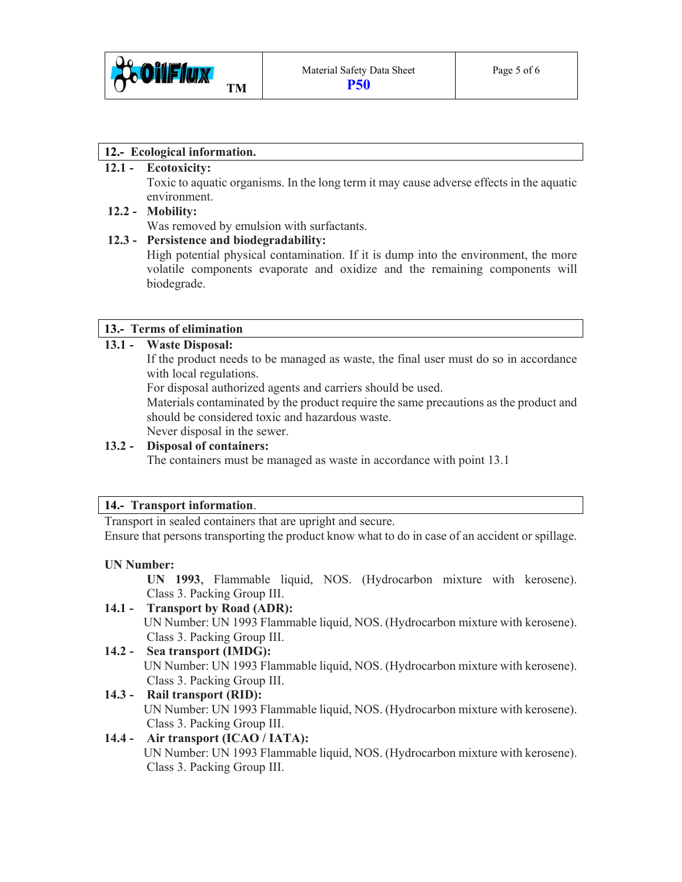

#### **12.- Ecological information.**

#### **12.1 - Ecotoxicity:**

Toxic to aquatic organisms. In the long term it may cause adverse effects in the aquatic environment.

#### **12.2 - Mobility:**

Was removed by emulsion with surfactants.

## **12.3 - Persistence and biodegradability:**

High potential physical contamination. If it is dump into the environment, the more volatile components evaporate and oxidize and the remaining components will biodegrade.

#### **13.- Terms of elimination**

## **13.1 - Waste Disposal:**

If the product needs to be managed as waste, the final user must do so in accordance with local regulations.

For disposal authorized agents and carriers should be used.

 Materials contaminated by the product require the same precautions as the product and should be considered toxic and hazardous waste.

Never disposal in the sewer.

## **13.2 - Disposal of containers:**

The containers must be managed as waste in accordance with point 13.1

#### **14.- Transport information**.

Transport in sealed containers that are upright and secure.

Ensure that persons transporting the product know what to do in case of an accident or spillage.

#### **UN Number:**

 **UN 1993**, Flammable liquid, NOS. (Hydrocarbon mixture with kerosene). Class 3. Packing Group III.

## **14.1 - Transport by Road (ADR):**

 UN Number: UN 1993 Flammable liquid, NOS. (Hydrocarbon mixture with kerosene). Class 3. Packing Group III.

## **14.2 - Sea transport (IMDG):**

UN Number: UN 1993 Flammable liquid, NOS. (Hydrocarbon mixture with kerosene). Class 3. Packing Group III.

# **14.3 - Rail transport (RID):** UN Number: UN 1993 Flammable liquid, NOS. (Hydrocarbon mixture with kerosene). Class 3. Packing Group III.

## **14.4 - Air transport (ICAO / IATA):**

UN Number: UN 1993 Flammable liquid, NOS. (Hydrocarbon mixture with kerosene). Class 3. Packing Group III.